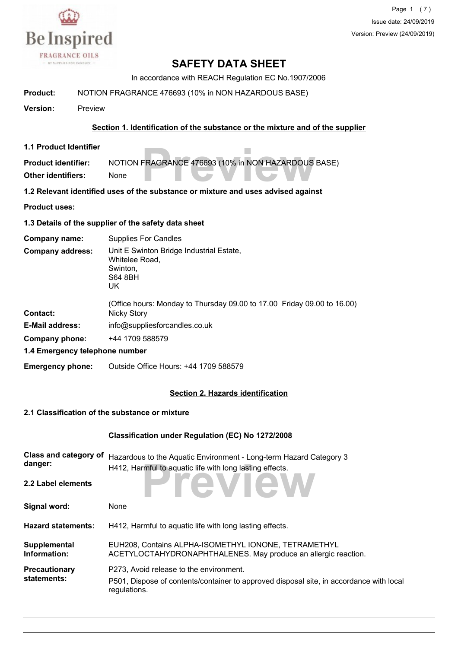

Page 1 (7) Issue date: 24/09/2019 Version: Preview (24/09/2019)

## **SAFETY DATA SHEET**

In accordance with REACH Regulation EC No.1907/2006

**Product:** NOTION FRAGRANCE 476693 (10% in NON HAZARDOUS BASE)

**Version:** Preview

#### **Section 1. Identification of the substance or the mixture and of the supplier**

**1.1 Product Identifier**

**FRAGRANCE 476693 (10% in NON HAZARDOUS Product identifier:** NOTION FRAGRANCE 476693 (10% in NON HAZARDOUS BASE) **Other identifiers:** None

**1.2 Relevant identified uses of the substance or mixture and uses advised against**

**Product uses:**

**1.3 Details of the supplier of the safety data sheet**

**Company name:** Supplies For Candles

Unit E Swinton Bridge Industrial Estate, Whitelee Road, Swinton, S64 8BH **Company address:**

- UK (Office hours: Monday to Thursday 09.00 to 17.00 Friday 09.00 to 16.00) **Contact:** Nicky Story
- **E-Mail address:** info@suppliesforcandles.co.uk
- **Company phone:** +44 1709 588579

**1.4 Emergency telephone number**

**Emergency phone:** Outside Office Hours: +44 1709 588579

#### **Section 2. Hazards identification**

#### **2.1 Classification of the substance or mixture**

# **Classification under Regulation (EC) No 1272/2008**

| Class and category of<br>danger:    | Hazardous to the Aquatic Environment - Long-term Hazard Category 3<br>H412, Harmful to aquatic life with long lasting effects.                     |
|-------------------------------------|----------------------------------------------------------------------------------------------------------------------------------------------------|
| 2.2 Label elements                  | <b>TIENW</b>                                                                                                                                       |
| Signal word:                        | None                                                                                                                                               |
| <b>Hazard statements:</b>           | H412, Harmful to aquatic life with long lasting effects.                                                                                           |
| Supplemental<br>Information:        | EUH208, Contains ALPHA-ISOMETHYL IONONE, TETRAMETHYL<br>ACETYLOCTAHYDRONAPHTHALENES. May produce an allergic reaction.                             |
| <b>Precautionary</b><br>statements: | P273, Avoid release to the environment.<br>P501, Dispose of contents/container to approved disposal site, in accordance with local<br>regulations. |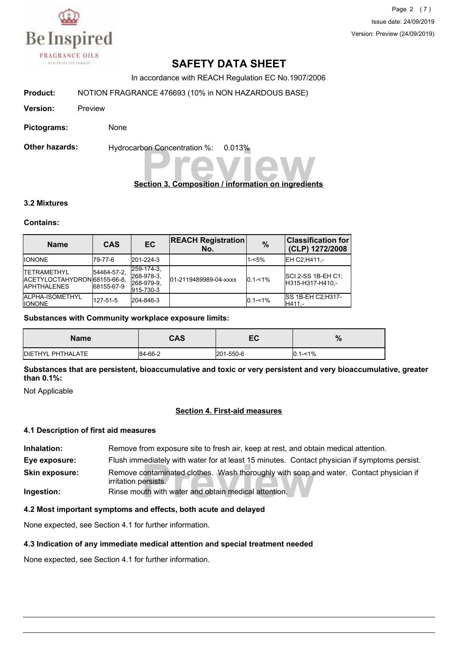

Page 2 (7) Issue date: 24/09/2019 Version: Preview (24/09/2019)

# **SAFETY DATA SHEET**

In accordance with REACH Regulation EC No.1907/2006

**Product:** NOTION FRAGRANCE 476693 (10% in NON HAZARDOUS BASE)

**Version:** Preview

**Pictograms:** None

**Other hazards:** Hydrocarbon Concentration %: 0.013%

# **Preview Concentration %:** 0.013%<br> **Preview Composition / information on ingredients**

#### **3.2 Mixtures**

#### **Contains:**

| <b>Name</b>                                                                | <b>CAS</b>                | EC                                                  | <b>REACH Registration</b><br>No. | $\frac{9}{6}$ | <b>Classification for</b><br>(CLP) 1272/2008  |
|----------------------------------------------------------------------------|---------------------------|-----------------------------------------------------|----------------------------------|---------------|-----------------------------------------------|
| <b>IIONONE</b>                                                             | 179-77-6                  | 201-224-3                                           |                                  | 1-<5%         | EH C2:H411 .-                                 |
| <b>ITETRAMETHYL</b><br>IACETYLOCTAHYDRON68155-66-8.<br><b>IAPHTHALENES</b> | 54464-57-2.<br>68155-67-9 | 259-174-3.<br>268-978-3.<br>268-979-9.<br>915-730-3 | 01-2119489989-04-xxxx            | $0.1 - 1\%$   | <b>SCI 2-SS 1B-EH C1:</b><br>H315-H317-H410.- |
| <b>JALPHA-ISOMETHYL</b><br><b>IIONONE</b>                                  | 127-51-5                  | 204-846-3                                           |                                  | $0.1 - 1\%$   | <b>ISS 1B-EH C2:H317-</b><br>H411.-           |

#### **Substances with Community workplace exposure limits:**

| <b>Name</b>               | <b>CAS</b> | EC        | $\mathbf{o}$<br>70 |
|---------------------------|------------|-----------|--------------------|
| <b>IDIETHYL PHTHALATE</b> | 84-66-2    | 201-550-6 | $0.1 - 1\%$        |

**Substances that are persistent, bioaccumulative and toxic or very persistent and very bioaccumulative, greater than 0.1%:**

Not Applicable

#### **Section 4. First-aid measures**

#### **4.1 Description of first aid measures**

rediately with water for at least 15 minutes. Contact<br>contaminated clothes. Wash thoroughly with soap a<br>ersists.<br>uth with water and obtain medical attention. **Inhalation:** Remove from exposure site to fresh air, keep at rest, and obtain medical attention. **Eye exposure:** Flush immediately with water for at least 15 minutes. Contact physician if symptoms persist. Remove contaminated clothes. Wash thoroughly with soap and water. Contact physician if irritation persists. **Skin exposure: Ingestion:** Rinse mouth with water and obtain medical attention.

#### **4.2 Most important symptoms and effects, both acute and delayed**

None expected, see Section 4.1 for further information.

#### **4.3 Indication of any immediate medical attention and special treatment needed**

None expected, see Section 4.1 for further information.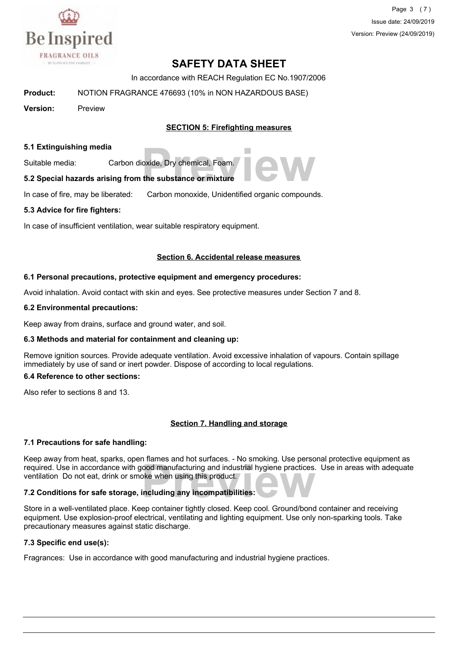

Page 3 (7) Issue date: 24/09/2019 Version: Preview (24/09/2019)

# **SAFETY DATA SHEET**

In accordance with REACH Regulation EC No.1907/2006

**Product:** NOTION FRAGRANCE 476693 (10% in NON HAZARDOUS BASE)

**Version:** Preview

#### **SECTION 5: Firefighting measures**

#### **5.1 Extinguishing media**

Suitable media: Carbon dioxide, Dry chemical, Foam.

# provide, Dry chemical, Foam.<br>**The substance or mixture 5.2 Special hazards arising from the substance or mixture**

In case of fire, may be liberated: Carbon monoxide, Unidentified organic compounds.

#### **5.3 Advice for fire fighters:**

In case of insufficient ventilation, wear suitable respiratory equipment.

#### **Section 6. Accidental release measures**

#### **6.1 Personal precautions, protective equipment and emergency procedures:**

Avoid inhalation. Avoid contact with skin and eyes. See protective measures under Section 7 and 8.

#### **6.2 Environmental precautions:**

Keep away from drains, surface and ground water, and soil.

#### **6.3 Methods and material for containment and cleaning up:**

Remove ignition sources. Provide adequate ventilation. Avoid excessive inhalation of vapours. Contain spillage immediately by use of sand or inert powder. Dispose of according to local regulations.

#### **6.4 Reference to other sections:**

Also refer to sections 8 and 13.

#### **Section 7. Handling and storage**

#### **7.1 Precautions for safe handling:**

**Prequired.** Use in accordance with good manufacturing and industrial hygiene practices. Use in areas with adequate ventilation Do not eat, drink or smoke when using this product.<br>**7.2 Conditions for safe storage, includin** Keep away from heat, sparks, open flames and hot surfaces. - No smoking. Use personal protective equipment as ventilation Do not eat, drink or smoke when using this product.

#### **7.2 Conditions for safe storage, including any incompatibilities:**

Store in a well-ventilated place. Keep container tightly closed. Keep cool. Ground/bond container and receiving equipment. Use explosion-proof electrical, ventilating and lighting equipment. Use only non-sparking tools. Take precautionary measures against static discharge.

#### **7.3 Specific end use(s):**

Fragrances: Use in accordance with good manufacturing and industrial hygiene practices.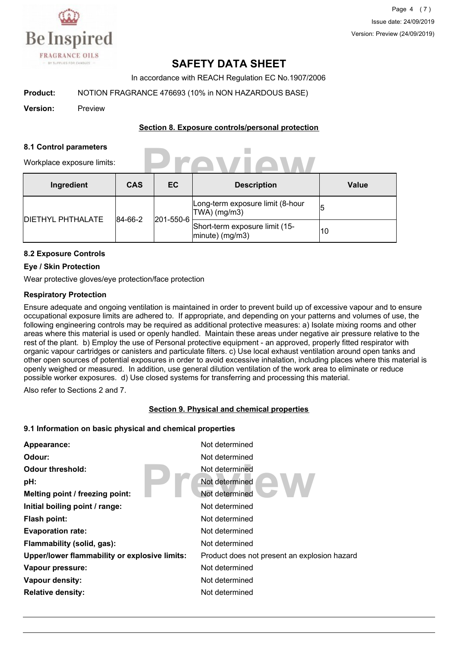

Page 4 (7) Issue date: 24/09/2019 Version: Preview (24/09/2019)

## **SAFETY DATA SHEET**

In accordance with REACH Regulation EC No.1907/2006

**Product:** NOTION FRAGRANCE 476693 (10% in NON HAZARDOUS BASE)

**Version:** Preview

#### **Section 8. Exposure controls/personal protection**

**Preview**

#### **8.1 Control parameters**

Workplace exposure limits:

| Ingredient               | <b>CAS</b>           | EC                                                   | <b>Description</b>                                  | <b>Value</b> |
|--------------------------|----------------------|------------------------------------------------------|-----------------------------------------------------|--------------|
| <b>DIETHYL PHTHALATE</b> | 201-550-6<br>84-66-2 |                                                      | Long-term exposure limit (8-hour<br>$ TWA $ (mg/m3) | 5            |
|                          |                      | Short-term exposure limit (15-<br>$ minute)$ (mg/m3) | 10                                                  |              |

#### **8.2 Exposure Controls**

#### **Eye / Skin Protection**

Wear protective gloves/eye protection/face protection

#### **Respiratory Protection**

Ensure adequate and ongoing ventilation is maintained in order to prevent build up of excessive vapour and to ensure occupational exposure limits are adhered to. If appropriate, and depending on your patterns and volumes of use, the following engineering controls may be required as additional protective measures: a) Isolate mixing rooms and other areas where this material is used or openly handled. Maintain these areas under negative air pressure relative to the rest of the plant. b) Employ the use of Personal protective equipment - an approved, properly fitted respirator with organic vapour cartridges or canisters and particulate filters. c) Use local exhaust ventilation around open tanks and other open sources of potential exposures in order to avoid excessive inhalation, including places where this material is openly weighed or measured. In addition, use general dilution ventilation of the work area to eliminate or reduce possible worker exposures. d) Use closed systems for transferring and processing this material.

Also refer to Sections 2 and 7.

#### **Section 9. Physical and chemical properties**

#### **9.1 Information on basic physical and chemical properties**

| Appearance:                                   | Not determined                               |
|-----------------------------------------------|----------------------------------------------|
| Odour:                                        | Not determined                               |
| Odour threshold:                              | Not determined                               |
| pH:                                           | Not determined                               |
| Melting point / freezing point:               | Not determined                               |
| Initial boiling point / range:                | Not determined                               |
| <b>Flash point:</b>                           | Not determined                               |
| <b>Evaporation rate:</b>                      | Not determined                               |
| Flammability (solid, gas):                    | Not determined                               |
| Upper/lower flammability or explosive limits: | Product does not present an explosion hazard |
| Vapour pressure:                              | Not determined                               |
| Vapour density:                               | Not determined                               |
| <b>Relative density:</b>                      | Not determined                               |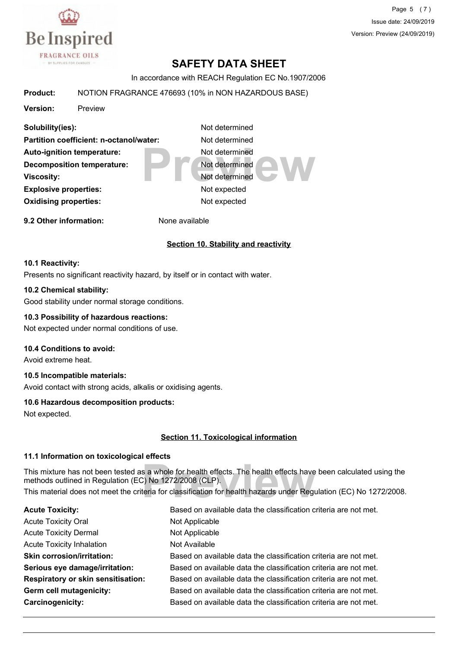

Page 5 (7) Issue date: 24/09/2019 Version: Preview (24/09/2019)

# **SAFETY DATA SHEET**

In accordance with REACH Regulation EC No.1907/2006

#### **Product:** NOTION FRAGRANCE 476693 (10% in NON HAZARDOUS BASE)

**Version:** Preview

Not determined<br>
Not determined<br>
Not determined<br>
Not expected **Solubility(ies):** Not determined **Partition coefficient: n-octanol/water:** Not determined Auto-ignition temperature: Not determined **Decomposition temperature:** Not determined **Viscosity:** Not determined **Explosive properties:** Not expected **Oxidising properties:** Not expected **9.2 Other information:** None available

#### **Section 10. Stability and reactivity**

#### **10.1 Reactivity:**

Presents no significant reactivity hazard, by itself or in contact with water.

#### **10.2 Chemical stability:**

Good stability under normal storage conditions.

#### **10.3 Possibility of hazardous reactions:**

Not expected under normal conditions of use.

#### **10.4 Conditions to avoid:**

Avoid extreme heat.

#### **10.5 Incompatible materials:**

Avoid contact with strong acids, alkalis or oxidising agents.

#### **10.6 Hazardous decomposition products:**

Not expected.

#### **Section 11. Toxicological information**

#### **11.1 Information on toxicological effects**

s a whole for health effects. The health effects have<br>C) No 1272/2008 (CLP).<br>teria for classification for health hazards under Regu This mixture has not been tested as a whole for health effects. The health effects have been calculated using the methods outlined in Regulation (EC) No 1272/2008 (CLP). This material does not meet the criteria for classification for health hazards under Regulation (EC) No 1272/2008.

| <b>Acute Toxicity:</b>                    | Based on available data the classification criteria are not met. |
|-------------------------------------------|------------------------------------------------------------------|
| <b>Acute Toxicity Oral</b>                | Not Applicable                                                   |
| <b>Acute Toxicity Dermal</b>              | Not Applicable                                                   |
| <b>Acute Toxicity Inhalation</b>          | Not Available                                                    |
| <b>Skin corrosion/irritation:</b>         | Based on available data the classification criteria are not met. |
| Serious eye damage/irritation:            | Based on available data the classification criteria are not met. |
| <b>Respiratory or skin sensitisation:</b> | Based on available data the classification criteria are not met. |
| Germ cell mutagenicity:                   | Based on available data the classification criteria are not met. |
| Carcinogenicity:                          | Based on available data the classification criteria are not met. |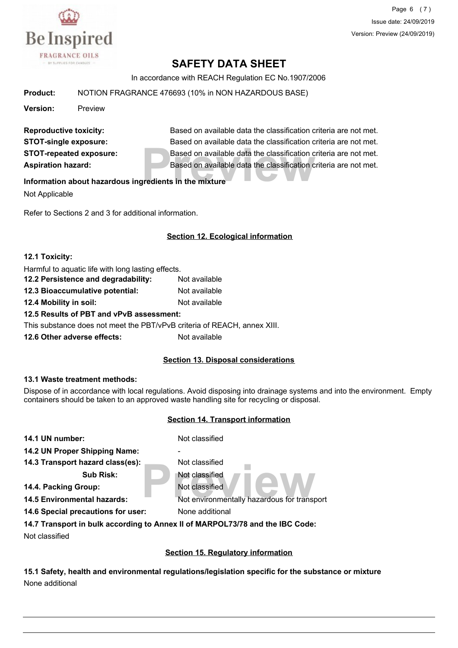

Page 6 (7) Issue date: 24/09/2019 Version: Preview (24/09/2019)

# **SAFETY DATA SHEET**

In accordance with REACH Regulation EC No.1907/2006

**Product:** NOTION FRAGRANCE 476693 (10% in NON HAZARDOUS BASE)

**Version:** Preview

Based on available data the classification c<br>Based on available data the classification c<br>**Predients in the mixture Reproductive toxicity:** Based on available data the classification criteria are not met. **STOT-single exposure:** Based on available data the classification criteria are not met. **STOT-repeated exposure:** Based on available data the classification criteria are not met. **Aspiration hazard:** Based on available data the classification criteria are not met.

#### **Information about hazardous ingredients in the mixture**

Not Applicable

Refer to Sections 2 and 3 for additional information.

#### **Section 12. Ecological information**

#### **12.1 Toxicity:**

| Harmful to aquatic life with long lasting effects.                       |               |  |
|--------------------------------------------------------------------------|---------------|--|
| 12.2 Persistence and degradability:                                      | Not available |  |
| 12.3 Bioaccumulative potential:                                          | Not available |  |
| 12.4 Mobility in soil:                                                   | Not available |  |
| 12.5 Results of PBT and vPvB assessment:                                 |               |  |
| This substance does not meet the PBT/vPvB criteria of REACH, annex XIII. |               |  |
| 12.6 Other adverse effects:                                              | Not available |  |

#### **Section 13. Disposal considerations**

#### **13.1 Waste treatment methods:**

Dispose of in accordance with local regulations. Avoid disposing into drainage systems and into the environment. Empty containers should be taken to an approved waste handling site for recycling or disposal.

#### **Section 14. Transport information**

| 14.1 UN number:                    | Not classified                                                                |
|------------------------------------|-------------------------------------------------------------------------------|
| 14.2 UN Proper Shipping Name:      | -                                                                             |
| 14.3 Transport hazard class(es):   | Not classified                                                                |
| <b>Sub Risk:</b>                   | Not classified                                                                |
| 14.4. Packing Group:               | Not classified                                                                |
| <b>14.5 Environmental hazards:</b> | Not environmentally hazardous for transport                                   |
| 14.6 Special precautions for user: | None additional                                                               |
|                                    | 14.7 Transport in bulk according to Annex II of MARPOL73/78 and the IBC Code: |
| Not classified                     |                                                                               |
|                                    |                                                                               |

**Section 15. Regulatory information**

**15.1 Safety, health and environmental regulations/legislation specific for the substance or mixture** None additional